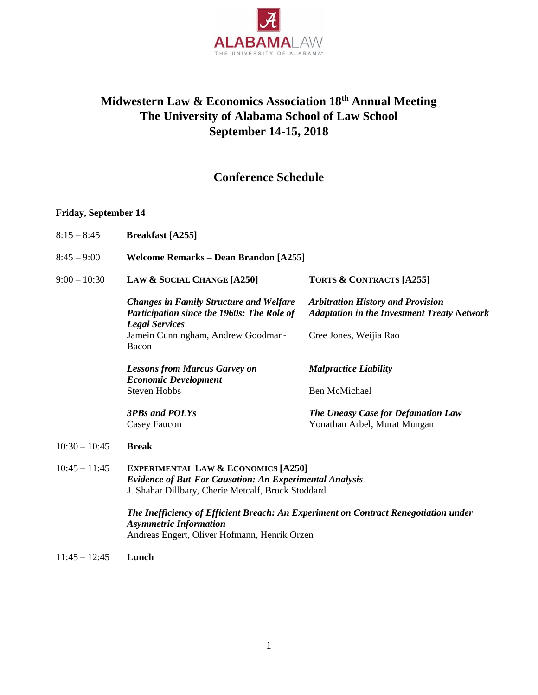

# **Midwestern Law & Economics Association 18th Annual Meeting The University of Alabama School of Law School September 14-15, 2018**

## **Conference Schedule**

#### **Friday, September 14**

- 8:15 8:45 **Breakfast [A255]**
- 8:45 9:00 **Welcome Remarks – Dean Brandon [A255]**
- 9:00 10:30 **LAW & SOCIAL CHANGE [A250] TORTS & CONTRACTS [A255]**

*Changes in Family Structure and Welfare Participation since the 1960s: The Role of Legal Services* Jamein Cunningham, Andrew Goodman-Bacon *Arbitration History and Provision Adaptation in the Investment Treaty Network* Cree Jones, Weijia Rao

Yonathan Arbel, Murat Mungan

*Lessons from Marcus Garvey on Economic Development* Steven Hobbs *Malpractice Liability* Ben McMichael *The Uneasy Case for Defamation Law*

*3PBs and POLYs* Casey Faucon

10:30 – 10:45 **Break**

10:45 – 11:45 **EXPERIMENTAL LAW & ECONOMICS [A250]** *Evidence of But-For Causation: An Experimental Analysis* J. Shahar Dillbary, Cherie Metcalf, Brock Stoddard

> *The Inefficiency of Efficient Breach: An Experiment on Contract Renegotiation under Asymmetric Information* Andreas Engert, Oliver Hofmann, Henrik Orzen

11:45 – 12:45 **Lunch**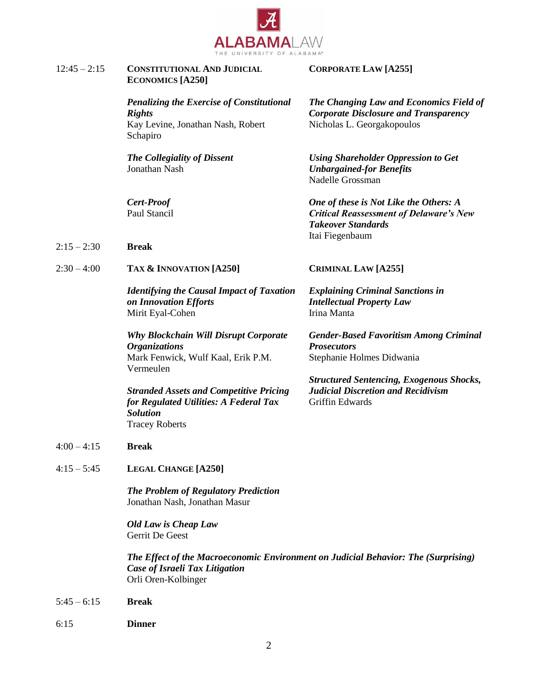

| $12:45 - 2:15$ | <b>CONSTITUTIONAL AND JUDICIAL</b> |
|----------------|------------------------------------|
|                | <b>ECONOMICS</b> [A250]            |

*Penalizing the Exercise of Constitutional Rights* Kay Levine, Jonathan Nash, Robert Schapiro

*The Collegiality of Dissent* Jonathan Nash

*Cert-Proof* Paul Stancil

- 2:15 2:30 **Break**
- 2:30 4:00 **TAX & INNOVATION [A250] CRIMINAL LAW [A255]**

*Identifying the Causal Impact of Taxation on Innovation Efforts* Mirit Eyal-Cohen

*Why Blockchain Will Disrupt Corporate Organizations* Mark Fenwick, Wulf Kaal, Erik P.M. Vermeulen

*Stranded Assets and Competitive Pricing for Regulated Utilities: A Federal Tax Solution* Tracey Roberts

- 4:00 4:15 **Break**
- 4:15 5:45 **LEGAL CHANGE [A250]**

*The Problem of Regulatory Prediction* Jonathan Nash, Jonathan Masur

*Old Law is Cheap Law* Gerrit De Geest

*The Effect of the Macroeconomic Environment on Judicial Behavior: The (Surprising) Case of Israeli Tax Litigation* Orli Oren-Kolbinger

- 5:45 6:15 **Break**
- 6:15 **Dinner**

### **CORPORATE LAW [A255]**

*The Changing Law and Economics Field of Corporate Disclosure and Transparency* Nicholas L. Georgakopoulos

*Using Shareholder Oppression to Get Unbargained-for Benefits* Nadelle Grossman

*One of these is Not Like the Others: A Critical Reassessment of Delaware's New Takeover Standards* Itai Fiegenbaum

*Explaining Criminal Sanctions in Intellectual Property Law* Irina Manta

*Gender-Based Favoritism Among Criminal Prosecutors* Stephanie Holmes Didwania

*Structured Sentencing, Exogenous Shocks, Judicial Discretion and Recidivism* Griffin Edwards